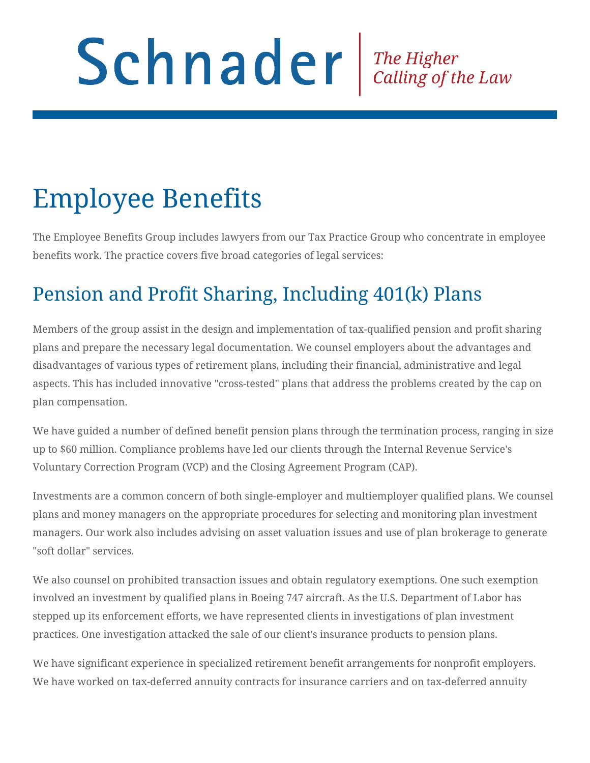# Schnader Fine Higher Calling of the Law

## Employee Benefits

The Employee Benefits Group includes lawyers from our Tax Practice Group who concentrate in employee benefits work. The practice covers five broad categories of legal services:

#### Pension and Profit Sharing, Including 401(k) Plans

Members of the group assist in the design and implementation of tax-qualified pension and profit sharing plans and prepare the necessary legal documentation. We counsel employers about the advantages and disadvantages of various types of retirement plans, including their financial, administrative and legal aspects. This has included innovative "cross-tested" plans that address the problems created by the cap on plan compensation.

We have guided a number of defined benefit pension plans through the termination process, ranging in size up to \$60 million. Compliance problems have led our clients through the Internal Revenue Service's Voluntary Correction Program (VCP) and the Closing Agreement Program (CAP).

Investments are a common concern of both single-employer and multiemployer qualified plans. We counsel plans and money managers on the appropriate procedures for selecting and monitoring plan investment managers. Our work also includes advising on asset valuation issues and use of plan brokerage to generate "soft dollar" services.

We also counsel on prohibited transaction issues and obtain regulatory exemptions. One such exemption involved an investment by qualified plans in Boeing 747 aircraft. As the U.S. Department of Labor has stepped up its enforcement efforts, we have represented clients in investigations of plan investment practices. One investigation attacked the sale of our client's insurance products to pension plans.

We have significant experience in specialized retirement benefit arrangements for nonprofit employers. We have worked on tax-deferred annuity contracts for insurance carriers and on tax-deferred annuity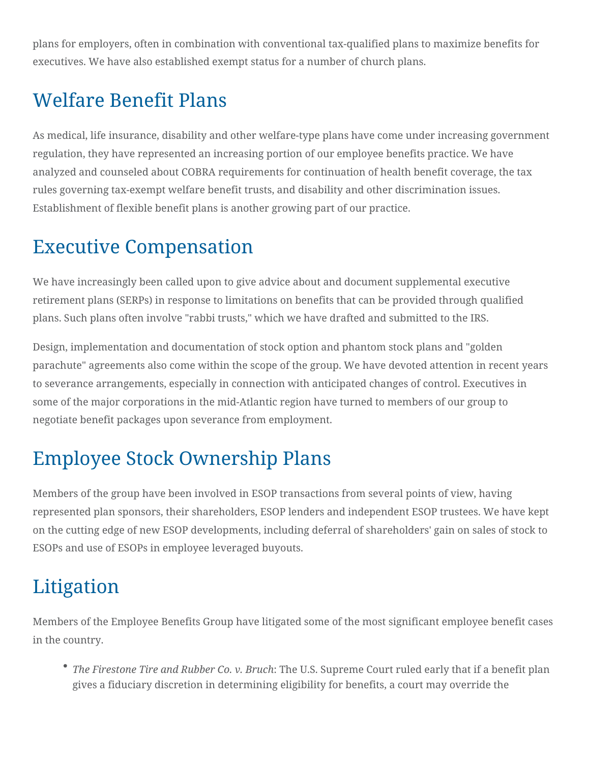plans for employers, often in combination with conventional tax-qualified plans to maximize benefits for executives. We have also established exempt status for a number of church plans.

#### Welfare Benefit Plans

As medical, life insurance, disability and other welfare-type plans have come under increasing government regulation, they have represented an increasing portion of our employee benefits practice. We have analyzed and counseled about COBRA requirements for continuation of health benefit coverage, the tax rules governing tax-exempt welfare benefit trusts, and disability and other discrimination issues. Establishment of flexible benefit plans is another growing part of our practice.

#### Executive Compensation

We have increasingly been called upon to give advice about and document supplemental executive retirement plans (SERPs) in response to limitations on benefits that can be provided through qualified plans. Such plans often involve "rabbi trusts," which we have drafted and submitted to the IRS.

Design, implementation and documentation of stock option and phantom stock plans and "golden parachute" agreements also come within the scope of the group. We have devoted attention in recent years to severance arrangements, especially in connection with anticipated changes of control. Executives in some of the major corporations in the mid-Atlantic region have turned to members of our group to negotiate benefit packages upon severance from employment.

### Employee Stock Ownership Plans

Members of the group have been involved in ESOP transactions from several points of view, having represented plan sponsors, their shareholders, ESOP lenders and independent ESOP trustees. We have kept on the cutting edge of new ESOP developments, including deferral of shareholders' gain on sales of stock to ESOPs and use of ESOPs in employee leveraged buyouts.

### Litigation

Members of the Employee Benefits Group have litigated some of the most significant employee benefit cases in the country.

*The Firestone Tire and Rubber Co. v. Bruch*: The U.S. Supreme Court ruled early that if a benefit plan gives a fiduciary discretion in determining eligibility for benefits, a court may override the